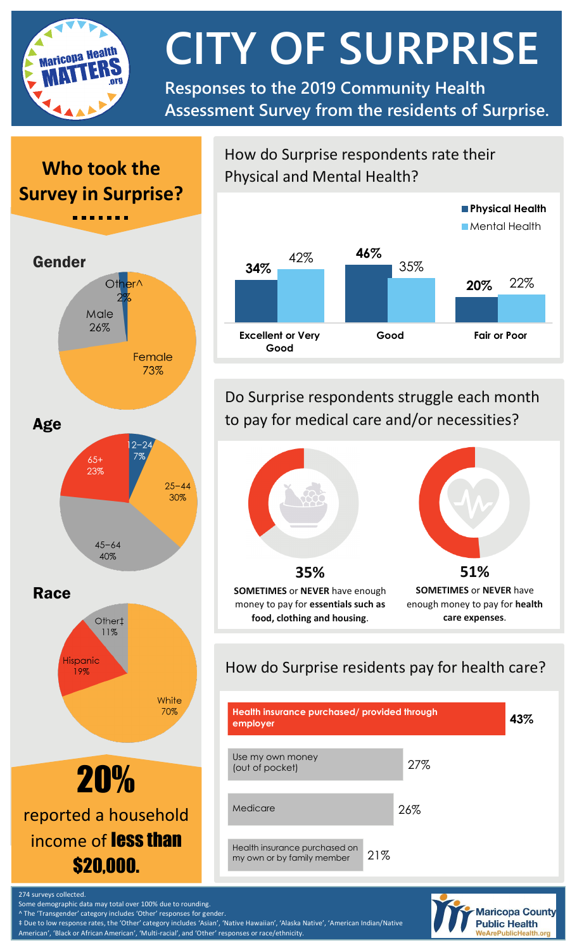

**CITY OF SURPRISE**

**Responses to the 2019 Community Health Assessment Survey from the residents of Surprise.**

# **Who took the Survey in Surprise?**





20% reported a household income of **less than** \$20,000.

How do Surprise respondents rate their Physical and Mental Health?



Do Surprise respondents struggle each month to pay for medical care and/or necessities?



# How do Surprise residents pay for health care?





274 surveys collected.

Some demographic data may total over 100% due to rounding.

^ The 'Transgender' category includes 'Other' responses for gender.

‡ Due to low response rates, the 'Other' category includes 'Asian', 'Native Hawaiian', 'Alaska Native', 'American Indian/Native American', 'Black or African American', 'Multi-racial', and 'Other' responses or race/ethnicity.